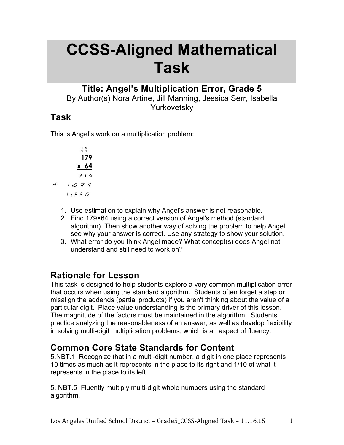# **CCSS-Aligned Mathematical Task**

### **Title: Angel's Multiplication Error, Grade 5**

By Author(s) Nora Artine, Jill Manning, Jessica Serr, Isabella Yurkovetsky

### **Task**

This is Angel's work on a multiplication problem:



- 1. Use estimation to explain why Angel's answer is not reasonable.
- 2. Find 179×64 using a correct version of Angel's method (standard algorithm). Then show another way of solving the problem to help Angel see why your answer is correct. Use any strategy to show your solution.
- 3. What error do you think Angel made? What concept(s) does Angel not understand and still need to work on?

### **Rationale for Lesson**

This task is designed to help students explore a very common multiplication error that occurs when using the standard algorithm. Students often forget a step or misalign the addends (partial products) if you aren't thinking about the value of a particular digit. Place value understanding is the primary driver of this lesson. The magnitude of the factors must be maintained in the algorithm. Students practice analyzing the reasonableness of an answer, as well as develop flexibility in solving multi-digit multiplication problems, which is an aspect of fluency.

### **Common Core State Standards for Content**

5.NBT.1 Recognize that in a multi-digit number, a digit in one place represents 10 times as much as it represents in the place to its right and 1/10 of what it represents in the place to its left.

5. NBT.5 Fluently multiply multi-digit whole numbers using the standard algorithm.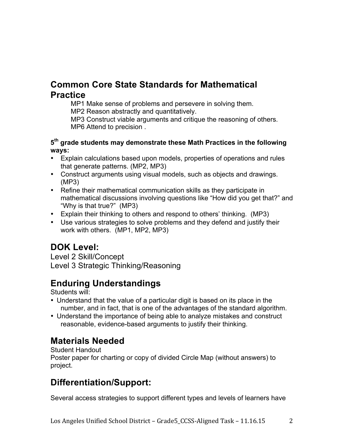### **Common Core State Standards for Mathematical Practice**

MP1 Make sense of problems and persevere in solving them.

MP2 Reason abstractly and quantitatively.

MP3 Construct viable arguments and critique the reasoning of others. MP6 Attend to precision .

#### **5th grade students may demonstrate these Math Practices in the following ways:**

- Explain calculations based upon models, properties of operations and rules that generate patterns. (MP2, MP3)
- Construct arguments using visual models, such as objects and drawings. (MP3)
- Refine their mathematical communication skills as they participate in mathematical discussions involving questions like "How did you get that?" and "Why is that true?" (MP3)
- Explain their thinking to others and respond to others' thinking. (MP3)
- Use various strategies to solve problems and they defend and justify their work with others. (MP1, MP2, MP3)

# **DOK Level:**

Level 2 Skill/Concept Level 3 Strategic Thinking/Reasoning

# **Enduring Understandings**

Students will:

- Understand that the value of a particular digit is based on its place in the number, and in fact, that is one of the advantages of the standard algorithm.
- Understand the importance of being able to analyze mistakes and construct reasonable, evidence-based arguments to justify their thinking.

# **Materials Needed**

Student Handout

Poster paper for charting or copy of divided Circle Map (without answers) to project.

# **Differentiation/Support:**

Several access strategies to support different types and levels of learners have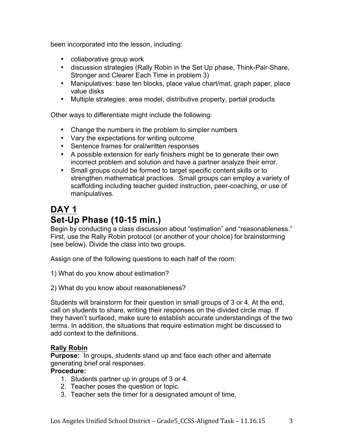been incorporated into the lesson, including:

- collaborative group work
- discussion strategies (Rally Robin in the Set Up phase, Think-Pair-Share, Stronger and Clearer Each Time in problem 3)
- Manipulatives: base ten blocks, place value chart/mat, graph paper, place value disks
- Multiple strategies: area model, distributive property, partial products

Other ways to differentiate might include the following:

- Change the numbers in the problem to simpler numbers
- Vary the expectations for writing outcome
- Sentence frames for oral/written responses
- A possible extension for early finishers might be to generate their own incorrect problem and solution and have a partner analyze their error.
- Small groups could be formed to target specific content skills or to strengthen mathematical practices. Small groups can employ a variety of scaffolding including teacher guided instruction, peer-coaching, or use of manipulatives.

# **DAY 1 Set-Up Phase (10-15 min.)**

Begin by conducting a class discussion about "estimation" and "reasonableness." First, use the Rally Robin protocol (or another of your choice) for brainstorming (see below). Divide the class into two groups.

Assign one of the following questions to each half of the room:

- 1) What do you know about estimation?
- 2) What do you know about reasonableness?

Students will brainstorm for their question in small groups of 3 or 4. At the end, call on students to share, writing their responses on the divided circle map. If they haven't surfaced, make sure to establish accurate understandings of the two terms. In addition, the situations that require estimation might be discussed to add context to the definitions.

#### **Rally Robin**

**Purpose:** In groups, students stand up and face each other and alternate generating brief oral responses.

#### **Procedure:**

- 1. Students partner up in groups of 3 or 4.
- 2. Teacher poses the question or topic.
- 3. Teacher sets the timer for a designated amount of time.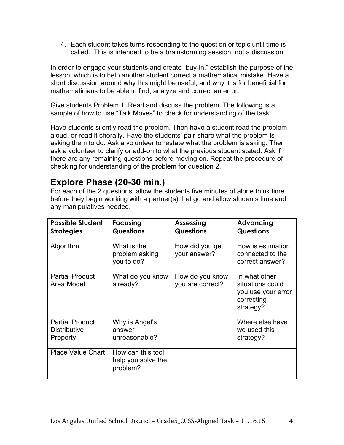4. Each student takes turns responding to the question or topic until time is called. This is intended to be a brainstorming session, not a discussion.

In order to engage your students and create "buy-in," establish the purpose of the lesson, which is to help another student correct a mathematical mistake. Have a short discussion around why this might be useful, and why it is for beneficial for mathematicians to be able to find, analyze and correct an error.

Give students Problem 1. Read and discuss the problem. The following is a sample of how to use "Talk Moves" to check for understanding of the task:

Have students silently read the problem. Then have a student read the problem aloud, or read it chorally. Have the students' pair-share what the problem is asking them to do. Ask a volunteer to restate what the problem is asking. Then ask a volunteer to clarify or add-on to what the previous student stated. Ask if there are any remaining questions before moving on. Repeat the procedure of checking for understanding of the problem for question 2.

### **Explore Phase (20-30 min.)**

For each of the 2 questions, allow the students five minutes of alone think time before they begin working with a partner(s). Let go and allow students time and any manipulatives needed.

| <b>Possible Student</b><br><b>Strategies</b>              | <b>Focusing</b><br><b>Questions</b>                 | <b>Assessing</b><br><b>Questions</b> | Advancing<br><b>Questions</b>                                                      |
|-----------------------------------------------------------|-----------------------------------------------------|--------------------------------------|------------------------------------------------------------------------------------|
| Algorithm                                                 | What is the<br>problem asking<br>you to do?         | How did you get<br>your answer?      | How is estimation<br>connected to the<br>correct answer?                           |
| <b>Partial Product</b><br>Area Model                      | What do you know<br>already?                        | How do you know<br>you are correct?  | In what other<br>situations could<br>you use your error<br>correcting<br>strategy? |
| <b>Partial Product</b><br><b>Distributive</b><br>Property | Why is Angel's<br>answer<br>unreasonable?           |                                      | Where else have<br>we used this<br>strategy?                                       |
| <b>Place Value Chart</b>                                  | How can this tool<br>help you solve the<br>problem? |                                      |                                                                                    |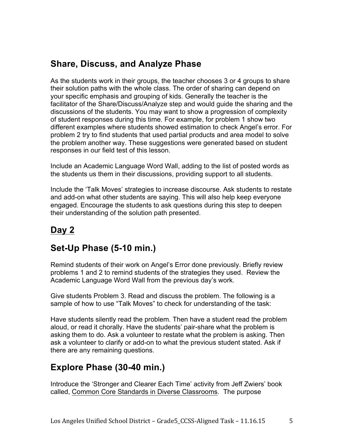### **Share, Discuss, and Analyze Phase**

As the students work in their groups, the teacher chooses 3 or 4 groups to share their solution paths with the whole class. The order of sharing can depend on your specific emphasis and grouping of kids. Generally the teacher is the facilitator of the Share/Discuss/Analyze step and would guide the sharing and the discussions of the students. You may want to show a progression of complexity of student responses during this time. For example, for problem 1 show two different examples where students showed estimation to check Angel's error. For problem 2 try to find students that used partial products and area model to solve the problem another way. These suggestions were generated based on student responses in our field test of this lesson.

Include an Academic Language Word Wall, adding to the list of posted words as the students us them in their discussions, providing support to all students.

Include the 'Talk Moves' strategies to increase discourse. Ask students to restate and add-on what other students are saying. This will also help keep everyone engaged. Encourage the students to ask questions during this step to deepen their understanding of the solution path presented.

# **Day 2**

### **Set-Up Phase (5-10 min.)**

Remind students of their work on Angel's Error done previously. Briefly review problems 1 and 2 to remind students of the strategies they used. Review the Academic Language Word Wall from the previous day's work.

Give students Problem 3. Read and discuss the problem. The following is a sample of how to use "Talk Moves" to check for understanding of the task:

Have students silently read the problem. Then have a student read the problem aloud, or read it chorally. Have the students' pair-share what the problem is asking them to do. Ask a volunteer to restate what the problem is asking. Then ask a volunteer to clarify or add-on to what the previous student stated. Ask if there are any remaining questions.

### **Explore Phase (30-40 min.)**

Introduce the 'Stronger and Clearer Each Time' activity from Jeff Zwiers' book called, Common Core Standards in Diverse Classrooms. The purpose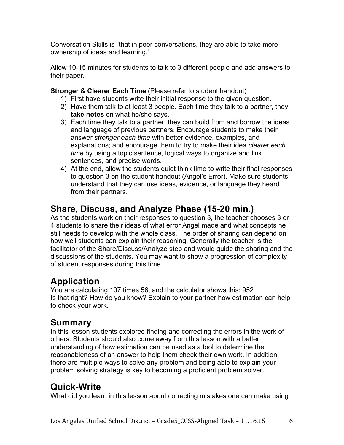Conversation Skills is "that in peer conversations, they are able to take more ownership of ideas and learning."

Allow 10-15 minutes for students to talk to 3 different people and add answers to their paper.

**Stronger & Clearer Each Time** (Please refer to student handout)

- 1) First have students write their initial response to the given question.
- 2) Have them talk to at least 3 people. Each time they talk to a partner, they **take notes** on what he/she says.
- 3) Each time they talk to a partner, they can build from and borrow the ideas and language of previous partners. Encourage students to make their answer *stronger each time* with better evidence, examples, and explanations; and encourage them to try to make their idea *clearer each time* by using a topic sentence, logical ways to organize and link sentences, and precise words.
- 4) At the end, allow the students quiet think time to write their final responses to question 3 on the student handout (Angel's Error). Make sure students understand that they can use ideas, evidence, or language they heard from their partners.

# **Share, Discuss, and Analyze Phase (15-20 min.)**

As the students work on their responses to question 3, the teacher chooses 3 or 4 students to share their ideas of what error Angel made and what concepts he still needs to develop with the whole class. The order of sharing can depend on how well students can explain their reasoning. Generally the teacher is the facilitator of the Share/Discuss/Analyze step and would guide the sharing and the discussions of the students. You may want to show a progression of complexity of student responses during this time.

# **Application**

You are calculating 107 times 56, and the calculator shows this: 952 Is that right? How do you know? Explain to your partner how estimation can help to check your work.

# **Summary**

In this lesson students explored finding and correcting the errors in the work of others. Students should also come away from this lesson with a better understanding of how estimation can be used as a tool to determine the reasonableness of an answer to help them check their own work. In addition, there are multiple ways to solve any problem and being able to explain your problem solving strategy is key to becoming a proficient problem solver.

# **Quick-Write**

What did you learn in this lesson about correcting mistakes one can make using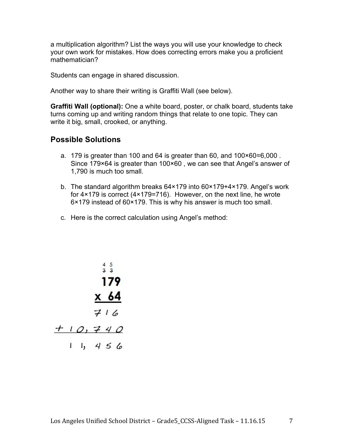a multiplication algorithm? List the ways you will use your knowledge to check your own work for mistakes. How does correcting errors make you a proficient mathematician?

Students can engage in shared discussion.

Another way to share their writing is Graffiti Wall (see below).

**Graffiti Wall (optional):** One a white board, poster, or chalk board, students take turns coming up and writing random things that relate to one topic. They can write it big, small, crooked, or anything.

#### **Possible Solutions**

- a. 179 is greater than 100 and 64 is greater than 60, and 100×60=6,000 . Since 179×64 is greater than 100×60 , we can see that Angel's answer of 1,790 is much too small.
- b. The standard algorithm breaks 64×179 into 60×179+4×179. Angel's work for 4×179 is correct (4×179=716). However, on the next line, he wrote 6×179 instead of 60×179. This is why his answer is much too small.
- c. Here is the correct calculation using Angel's method:

$$
\begin{array}{r}\n45 \\
33 \\
179 \\
\underline{\times 64} \\
716 \\
\end{array}
$$
\n  
\n+ 10, 740\n  
\n+ 1, 456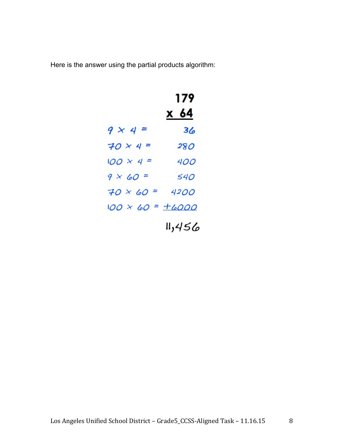Here is the answer using the partial products algorithm:

|                            | 179<br><u>x 64</u> |
|----------------------------|--------------------|
| $9 \times 4 =$             | 36                 |
| $70 \times 4 =$            | 280                |
| $100 \times 4 =$           | 400                |
| $9 \times 60 =$            | 540                |
| $70 \times 60 =$           | 4200               |
| $100 \times 60 = \pm 6000$ |                    |
|                            | 11,456             |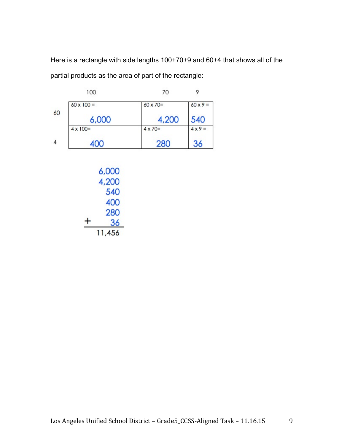Here is a rectangle with side lengths 100+70+9 and 60+4 that shows all of the partial products as the area of part of the rectangle:

|    | 100               | 70               |                 |
|----|-------------------|------------------|-----------------|
|    | $60 \times 100 =$ | $60 \times 70 =$ | $60 \times 9 =$ |
| 60 | 6,000             | 4,200            | 540             |
|    | $4 \times 100 =$  | $4 \times 70=$   | $4 \times 9 =$  |
| 4  | 400               | 280              | 36              |

|   | 6,000  |
|---|--------|
|   | 4,200  |
|   | 540    |
|   | 400    |
|   | 280    |
| + | 36     |
|   | 11,456 |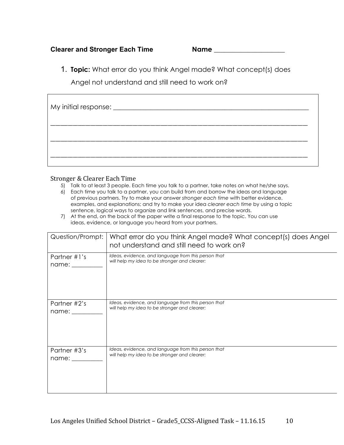#### **Clearer and Stronger Each Time Name \_\_\_\_\_\_\_\_\_\_\_\_\_\_\_\_\_\_\_\_\_**

1. **Topic:** What error do you think Angel made? What concept(s) does

Angel not understand and still need to work on?

| My initial response: ____________________ |  |
|-------------------------------------------|--|
|                                           |  |
|                                           |  |

#### Stronger & Clearer Each Time

- 5) Talk to at least 3 people. Each time you talk to a partner, take notes on what he/she says.
- 6) Each time you talk to a partner, you can build from and borrow the ideas and language of previous partners. Try to make your answer *stronger each time* with better evidence, examples, and explanations; and try to make your idea *clearer each time* by using a topic sentence, logical ways to organize and link sentences, and precise words.
- 7) At the end, on the back of the paper write a final response to the topic. You can use ideas, evidence, or language you heard from your partners.

| Question/Prompt: | What error do you think Angel made? What concept(s) does Angel<br>not understand and still need to work on? |
|------------------|-------------------------------------------------------------------------------------------------------------|
| Partner #1's     | Ideas, evidence, and language from this person that                                                         |
| name:            | will help my idea to be stronger and clearer:                                                               |
| Partner #2's     | Ideas, evidence, and language from this person that                                                         |
| name:            | will help my idea to be stronger and clearer:                                                               |
| Partner #3's     | Ideas, evidence, and language from this person that                                                         |
| name:            | will help my idea to be stronger and clearer:                                                               |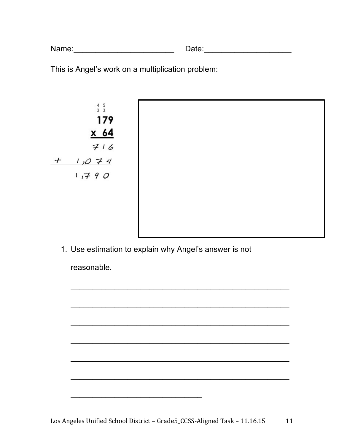| Name: | Date: |
|-------|-------|
|       |       |

This is Angel's work on a multiplication problem:



1. Use estimation to explain why Angel's answer is not

reasonable.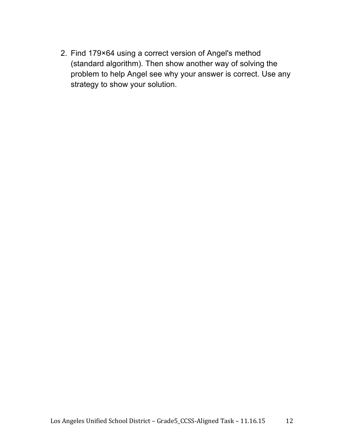2. Find 179×64 using a correct version of Angel's method (standard algorithm). Then show another way of solving the problem to help Angel see why your answer is correct. Use any strategy to show your solution.